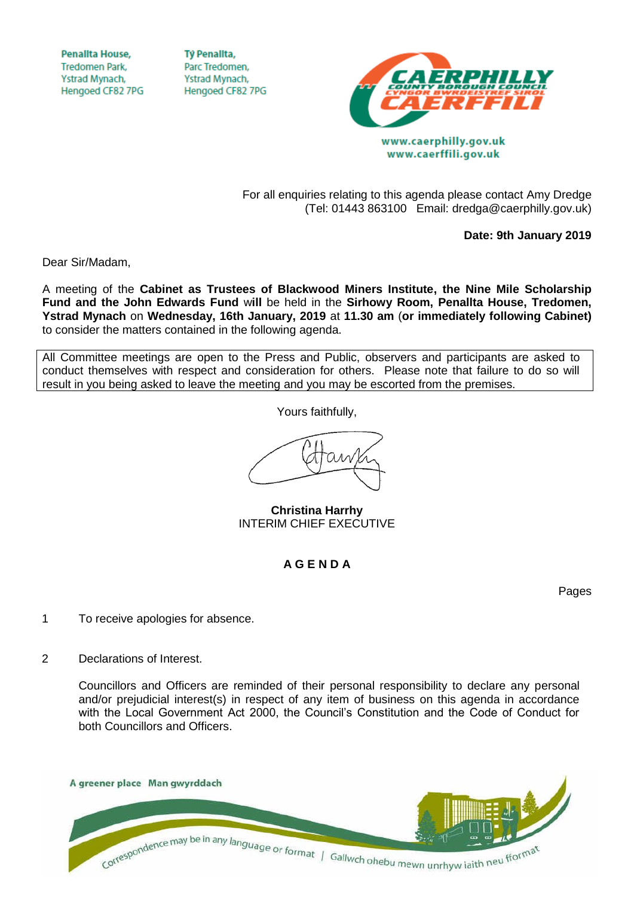**Penallta House, Tredomen Park.** Ystrad Mynach, Hengoed CF82 7PG

**TV Penallta,** Parc Tredomen. Ystrad Mynach, Hengoed CF82 7PG



www.caerffili.gov.uk

For all enquiries relating to this agenda please contact Amy Dredge (Tel: 01443 863100 Email: dredga@caerphilly.gov.uk)

**Date: 9th January 2019**

Dear Sir/Madam,

A meeting of the **Cabinet as Trustees of Blackwood Miners Institute, the Nine Mile Scholarship Fund and the John Edwards Fund** w**ill** be held in the **Sirhowy Room, Penallta House, Tredomen, Ystrad Mynach** on **Wednesday, 16th January, 2019** at **11.30 am** (**or immediately following Cabinet)** to consider the matters contained in the following agenda.

All Committee meetings are open to the Press and Public, observers and participants are asked to conduct themselves with respect and consideration for others. Please note that failure to do so will result in you being asked to leave the meeting and you may be escorted from the premises.

Yours faithfully,

**Christina Harrhy** INTERIM CHIEF EXECUTIVE

## **A G E N D A**

Pages

- 1 To receive apologies for absence.
- 2 Declarations of Interest.

Councillors and Officers are reminded of their personal responsibility to declare any personal and/or prejudicial interest(s) in respect of any item of business on this agenda in accordance with the Local Government Act 2000, the Council's Constitution and the Code of Conduct for both Councillors and Officers.